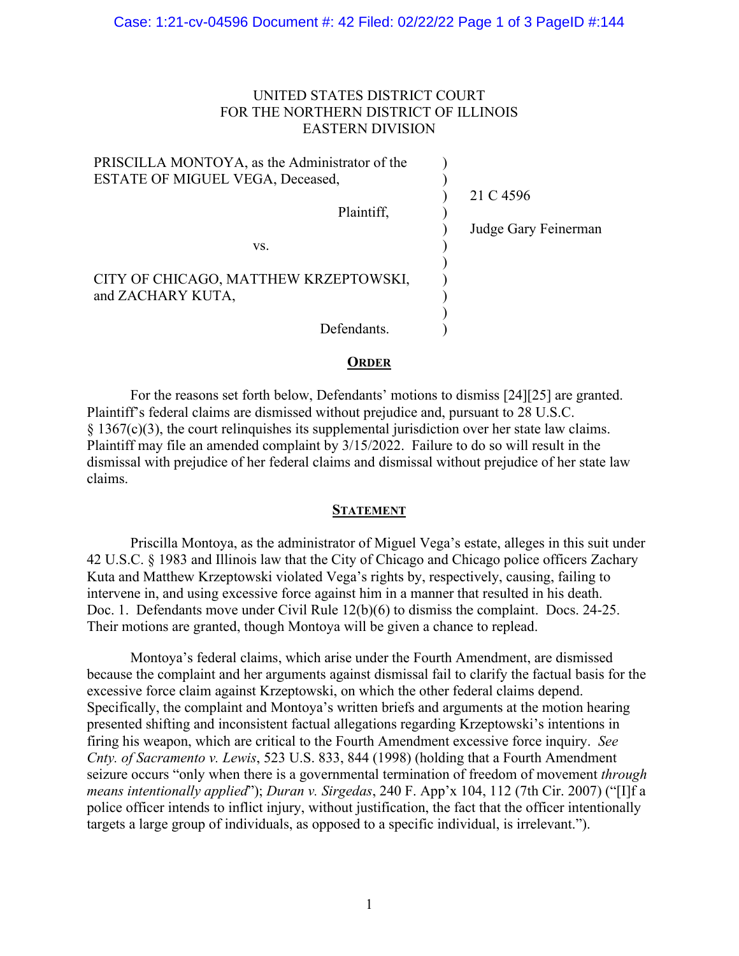## UNITED STATES DISTRICT COURT FOR THE NORTHERN DISTRICT OF ILLINOIS EASTERN DIVISION

| PRISCILLA MONTOYA, as the Administrator of the             |                      |
|------------------------------------------------------------|----------------------|
| <b>ESTATE OF MIGUEL VEGA, Deceased,</b>                    |                      |
|                                                            | 21 C 4596            |
| Plaintiff,                                                 |                      |
|                                                            | Judge Gary Feinerman |
| VS.                                                        |                      |
| CITY OF CHICAGO, MATTHEW KRZEPTOWSKI,<br>and ZACHARY KUTA, |                      |
| Defendants.                                                |                      |

## **ORDER**

For the reasons set forth below, Defendants' motions to dismiss [24][25] are granted. Plaintiff's federal claims are dismissed without prejudice and, pursuant to 28 U.S.C.  $§$  1367(c)(3), the court relinguishes its supplemental jurisdiction over her state law claims. Plaintiff may file an amended complaint by 3/15/2022. Failure to do so will result in the dismissal with prejudice of her federal claims and dismissal without prejudice of her state law claims.

## **STATEMENT**

Priscilla Montoya, as the administrator of Miguel Vega's estate, alleges in this suit under 42 U.S.C. § 1983 and Illinois law that the City of Chicago and Chicago police officers Zachary Kuta and Matthew Krzeptowski violated Vega's rights by, respectively, causing, failing to intervene in, and using excessive force against him in a manner that resulted in his death. Doc. 1. Defendants move under Civil Rule 12(b)(6) to dismiss the complaint. Docs. 24-25. Their motions are granted, though Montoya will be given a chance to replead.

Montoya's federal claims, which arise under the Fourth Amendment, are dismissed because the complaint and her arguments against dismissal fail to clarify the factual basis for the excessive force claim against Krzeptowski, on which the other federal claims depend. Specifically, the complaint and Montoya's written briefs and arguments at the motion hearing presented shifting and inconsistent factual allegations regarding Krzeptowski's intentions in firing his weapon, which are critical to the Fourth Amendment excessive force inquiry. *See Cnty. of Sacramento v. Lewis*, 523 U.S. 833, 844 (1998) (holding that a Fourth Amendment seizure occurs "only when there is a governmental termination of freedom of movement *through means intentionally applied*"); *Duran v. Sirgedas*, 240 F. App'x 104, 112 (7th Cir. 2007) ("[I]f a police officer intends to inflict injury, without justification, the fact that the officer intentionally targets a large group of individuals, as opposed to a specific individual, is irrelevant.").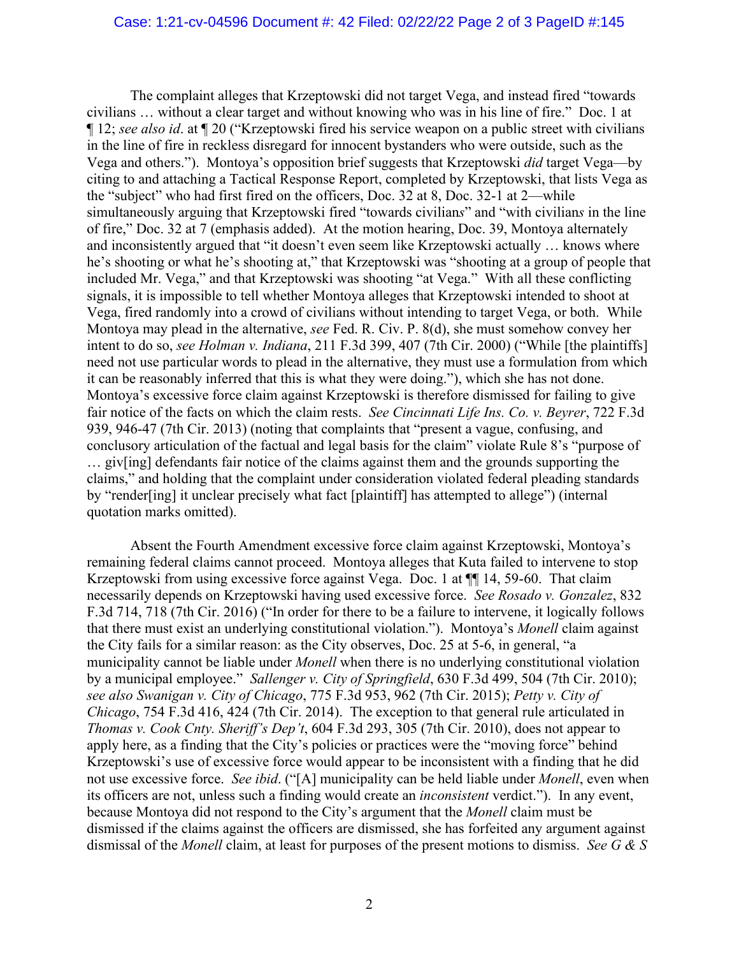The complaint alleges that Krzeptowski did not target Vega, and instead fired "towards civilians … without a clear target and without knowing who was in his line of fire." Doc. 1 at ¶ 12; *see also id*. at ¶ 20 ("Krzeptowski fired his service weapon on a public street with civilians in the line of fire in reckless disregard for innocent bystanders who were outside, such as the Vega and others."). Montoya's opposition brief suggests that Krzeptowski *did* target Vega—by citing to and attaching a Tactical Response Report, completed by Krzeptowski, that lists Vega as the "subject" who had first fired on the officers, Doc. 32 at 8, Doc. 32-1 at 2—while simultaneously arguing that Krzeptowski fired "towards civilian*s*" and "with civilian*s* in the line of fire," Doc. 32 at 7 (emphasis added). At the motion hearing, Doc. 39, Montoya alternately and inconsistently argued that "it doesn't even seem like Krzeptowski actually … knows where he's shooting or what he's shooting at," that Krzeptowski was "shooting at a group of people that included Mr. Vega," and that Krzeptowski was shooting "at Vega." With all these conflicting signals, it is impossible to tell whether Montoya alleges that Krzeptowski intended to shoot at Vega, fired randomly into a crowd of civilians without intending to target Vega, or both. While Montoya may plead in the alternative, *see* Fed. R. Civ. P. 8(d), she must somehow convey her intent to do so, *see Holman v. Indiana*, 211 F.3d 399, 407 (7th Cir. 2000) ("While [the plaintiffs] need not use particular words to plead in the alternative, they must use a formulation from which it can be reasonably inferred that this is what they were doing."), which she has not done. Montoya's excessive force claim against Krzeptowski is therefore dismissed for failing to give fair notice of the facts on which the claim rests. *See Cincinnati Life Ins. Co. v. Beyrer*, 722 F.3d 939, 946-47 (7th Cir. 2013) (noting that complaints that "present a vague, confusing, and conclusory articulation of the factual and legal basis for the claim" violate Rule 8's "purpose of … giv[ing] defendants fair notice of the claims against them and the grounds supporting the claims," and holding that the complaint under consideration violated federal pleading standards by "render[ing] it unclear precisely what fact [plaintiff] has attempted to allege") (internal quotation marks omitted).

Absent the Fourth Amendment excessive force claim against Krzeptowski, Montoya's remaining federal claims cannot proceed. Montoya alleges that Kuta failed to intervene to stop Krzeptowski from using excessive force against Vega. Doc. 1 at  $\P$  14, 59-60. That claim necessarily depends on Krzeptowski having used excessive force. *See Rosado v. Gonzalez*, 832 F.3d 714, 718 (7th Cir. 2016) ("In order for there to be a failure to intervene, it logically follows that there must exist an underlying constitutional violation."). Montoya's *Monell* claim against the City fails for a similar reason: as the City observes, Doc. 25 at 5-6, in general, "a municipality cannot be liable under *Monell* when there is no underlying constitutional violation by a municipal employee." *Sallenger v. City of Springfield*, 630 F.3d 499, 504 (7th Cir. 2010); *see also Swanigan v. City of Chicago*, 775 F.3d 953, 962 (7th Cir. 2015); *Petty v. City of Chicago*, 754 F.3d 416, 424 (7th Cir. 2014). The exception to that general rule articulated in *Thomas v. Cook Cnty. Sheriff's Dep't*, 604 F.3d 293, 305 (7th Cir. 2010), does not appear to apply here, as a finding that the City's policies or practices were the "moving force" behind Krzeptowski's use of excessive force would appear to be inconsistent with a finding that he did not use excessive force. *See ibid*. ("[A] municipality can be held liable under *Monell*, even when its officers are not, unless such a finding would create an *inconsistent* verdict."). In any event, because Montoya did not respond to the City's argument that the *Monell* claim must be dismissed if the claims against the officers are dismissed, she has forfeited any argument against dismissal of the *Monell* claim, at least for purposes of the present motions to dismiss. *See G & S*